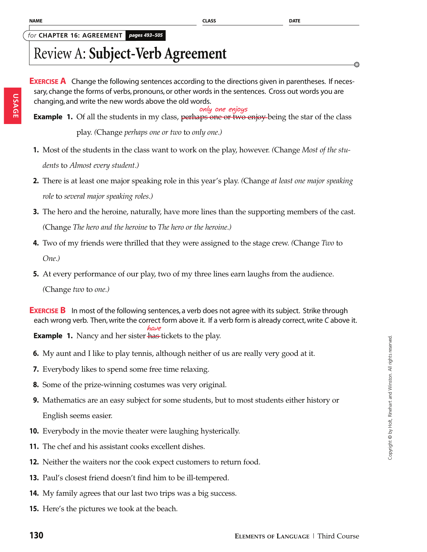**USAGE**

#### *for* **CHAPTER 16: AGREEMENT** *pages 493*=*<sup>505</sup>*

# Review A: **Subject-Verb Agreement**

**EXERCISE A** Change the following sentences according to the directions given in parentheses. If necessary, change the forms of verbs, pronouns, or other words in the sentences. Cross out words you are changing, and write the new words above the old words.

**Example 1.** Of all the students in my class, perhaps one or two enjoy-being the star of the class play. *(*Change *perhaps one or two* to *only one.)* **only one enjoys**

- **1.** Most of the students in the class want to work on the play, however. *(*Change *Most of the students* to *Almost every student.)*
- **2.** There is at least one major speaking role in this year's play. *(*Change *at least one major speaking role* to *several major speaking roles.)*
- **3.** The hero and the heroine, naturally, have more lines than the supporting members of the cast. *(*Change *The hero and the heroine* to *The hero or the heroine.)*
- **4.** Two of my friends were thrilled that they were assigned to the stage crew. *(*Change *Two* to *One.)*
- **5.** At every performance of our play, two of my three lines earn laughs from the audience.

*(*Change *two* to *one.)*

**EXERCISE B** In most of the following sentences, a verb does not agree with its subject. Strike through each wrong verb. Then, write the correct form above it. If a verb form is already correct, write *C* above it. **have**

**Example 1.** Nancy and her sister has tickets to the play.

- **6.** My aunt and I like to play tennis, although neither of us are really very good at it.
- **7.** Everybody likes to spend some free time relaxing.
- **8.** Some of the prize-winning costumes was very original.
- **9.** Mathematics are an easy subject for some students, but to most students either history or English seems easier.
- **10.** Everybody in the movie theater were laughing hysterically.
- **11.** The chef and his assistant cooks excellent dishes.
- **12.** Neither the waiters nor the cook expect customers to return food.
- **13.** Paul's closest friend doesn't find him to be ill-tempered.
- **14.** My family agrees that our last two trips was a big success.
- **15.** Here's the pictures we took at the beach.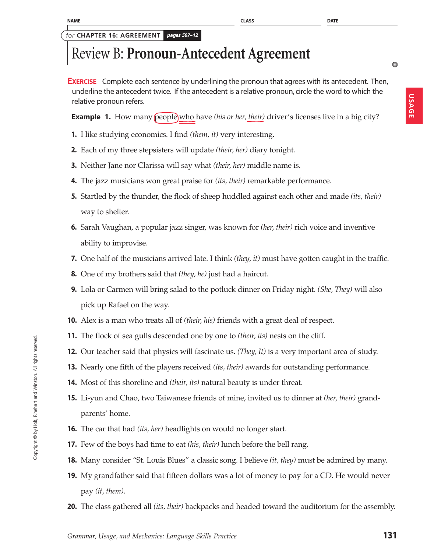Copyright © by Holt, Rinehart and Winston. All rights reserved.

Copyright @ by Holt, Rinehart and Winston. All rights reserved

*for* **CHAPTER 16: AGREEMENT** *pages 507*=*<sup>12</sup>*

## Review B: **Pronoun-Antecedent Agreement**

**EXERCISE** Complete each sentence by underlining the pronoun that agrees with its antecedent. Then, underline the antecedent twice. If the antecedent is a relative pronoun, circle the word to which the relative pronoun refers.

**Example 1.** How many people who have *(his or her, their)* driver's licenses live in a big city?

- **1.** I like studying economics. I find *(them, it)* very interesting.
- **2.** Each of my three stepsisters will update *(their, her)* diary tonight.
- **3.** Neither Jane nor Clarissa will say what *(their, her)* middle name is.
- **4.** The jazz musicians won great praise for *(its, their)* remarkable performance.
- **5.** Startled by the thunder, the flock of sheep huddled against each other and made *(its, their)* way to shelter.
- **6.** Sarah Vaughan, a popular jazz singer, was known for *(her, their)* rich voice and inventive ability to improvise.
- **7.** One half of the musicians arrived late. I think *(they, it)* must have gotten caught in the traffic.
- **8.** One of my brothers said that *(they, he)* just had a haircut.
- **9.** Lola or Carmen will bring salad to the potluck dinner on Friday night. *(She, They)* will also pick up Rafael on the way.
- **10.** Alex is a man who treats all of *(their, his)* friends with a great deal of respect.
- **11.** The flock of sea gulls descended one by one to *(their, its)* nests on the cliff.
- **12.** Our teacher said that physics will fascinate us. *(They, It)* is a very important area of study.
- **13.** Nearly one fifth of the players received *(its, their)* awards for outstanding performance.
- **14.** Most of this shoreline and *(their, its)* natural beauty is under threat.
- **15.** Li-yun and Chao, two Taiwanese friends of mine, invited us to dinner at *(her, their)* grandparents' home.
- **16.** The car that had *(its, her)* headlights on would no longer start.
- **17.** Few of the boys had time to eat *(his, their)* lunch before the bell rang.
- **18.** Many consider "St. Louis Blues" a classic song. I believe *(it, they)* must be admired by many.
- **19.** My grandfather said that fifteen dollars was a lot of money to pay for a CD. He would never pay *(it, them).*
- **20.** The class gathered all *(its, their)* backpacks and headed toward the auditorium for the assembly.

Ô